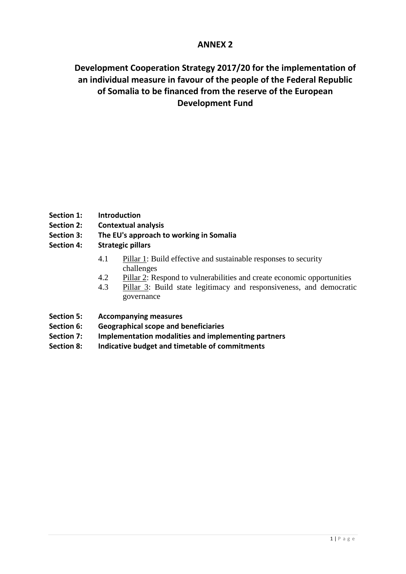# **ANNEX 2**

# **Development Cooperation Strategy 2017/20 for the implementation of an individual measure in favour of the people of the Federal Republic of Somalia to be financed from the reserve of the European Development Fund**

- **Section 1: Introduction**
- **Section 2: Contextual analysis**
- **Section 3: The EU's approach to working in Somalia**
- **Section 4: Strategic pillars**
	- 4.1 Pillar 1: Build effective and sustainable responses to security challenges
	- 4.2 Pillar 2: Respond to vulnerabilities and create economic opportunities
	- 4.3 Pillar 3: Build state legitimacy and responsiveness, and democratic governance
- **Section 5: Accompanying measures**
- **Section 6: Geographical scope and beneficiaries**
- **Section 7: Implementation modalities and implementing partners**
- **Section 8: Indicative budget and timetable of commitments**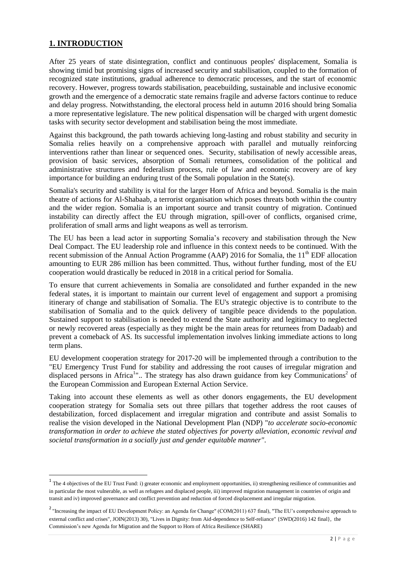# **1. INTRODUCTION**

**.** 

After 25 years of state disintegration, conflict and continuous peoples' displacement, Somalia is showing timid but promising signs of increased security and stabilisation, coupled to the formation of recognized state institutions, gradual adherence to democratic processes, and the start of economic recovery. However, progress towards stabilisation, peacebuilding, sustainable and inclusive economic growth and the emergence of a democratic state remains fragile and adverse factors continue to reduce and delay progress. Notwithstanding, the electoral process held in autumn 2016 should bring Somalia a more representative legislature. The new political dispensation will be charged with urgent domestic tasks with security sector development and stabilisation being the most immediate.

Against this background, the path towards achieving long-lasting and robust stability and security in Somalia relies heavily on a comprehensive approach with parallel and mutually reinforcing interventions rather than linear or sequenced ones. Security, stabilisation of newly accessible areas, provision of basic services, absorption of Somali returnees, consolidation of the political and administrative structures and federalism process, rule of law and economic recovery are of key importance for building an enduring trust of the Somali population in the State(s).

Somalia's security and stability is vital for the larger Horn of Africa and beyond. Somalia is the main theatre of actions for Al-Shabaab, a terrorist organisation which poses threats both within the country and the wider region. Somalia is an important source and transit country of migration. Continued instability can directly affect the EU through migration, spill-over of conflicts, organised crime, proliferation of small arms and light weapons as well as terrorism.

The EU has been a lead actor in supporting Somalia's recovery and stabilisation through the New Deal Compact. The EU leadership role and influence in this context needs to be continued. With the recent submission of the Annual Action Programme (AAP) 2016 for Somalia, the  $11<sup>th</sup>$  EDF allocation amounting to EUR 286 million has been committed. Thus, without further funding, most of the EU cooperation would drastically be reduced in 2018 in a critical period for Somalia.

To ensure that current achievements in Somalia are consolidated and further expanded in the new federal states, it is important to maintain our current level of engagement and support a promising itinerary of change and stabilisation of Somalia. The EU's strategic objective is to contribute to the stabilisation of Somalia and to the quick delivery of tangible peace dividends to the population. Sustained support to stabilisation is needed to extend the State authority and legitimacy to neglected or newly recovered areas (especially as they might be the main areas for returnees from Dadaab) and prevent a comeback of AS. Its successful implementation involves linking immediate actions to long term plans.

EU development cooperation strategy for 2017-20 will be implemented through a contribution to the "EU Emergency Trust Fund for stability and addressing the root causes of irregular migration and displaced persons in Africa<sup>1</sup>".. The strategy has also drawn guidance from key Communications<sup>2</sup> of the European Commission and European External Action Service.

Taking into account these elements as well as other donors engagements, the EU development cooperation strategy for Somalia sets out three pillars that together address the root causes of destabilization, forced displacement and irregular migration and contribute and assist Somalis to realise the vision developed in the National Development Plan (NDP) "*to accelerate socio-economic transformation in order to achieve the stated objectives for poverty alleviation, economic revival and societal transformation in a socially just and gender equitable manner"*.

 $1$  The 4 objectives of the EU Trust Fund: i) greater economic and employment opportunities, ii) strengthening resilience of communities and in particular the most vulnerable, as well as refugees and displaced people, iii) improved migration management in countries of origin and transit and iv) improved governance and conflict prevention and reduction of forced displacement and irregular migration.

<sup>&</sup>lt;sup>2</sup> "Increasing the impact of EU Development Policy: an Agenda for Change" (COM(2011) 637 final), "The EU's comprehensive approach to external conflict and crises", JOIN(2013) 30), "Lives in Dignity: from Aid-dependence to Self-reliance" {SWD(2016) 142 final}, the Commission's new Agenda for Migration and the Support to Horn of Africa Resilience (SHARE)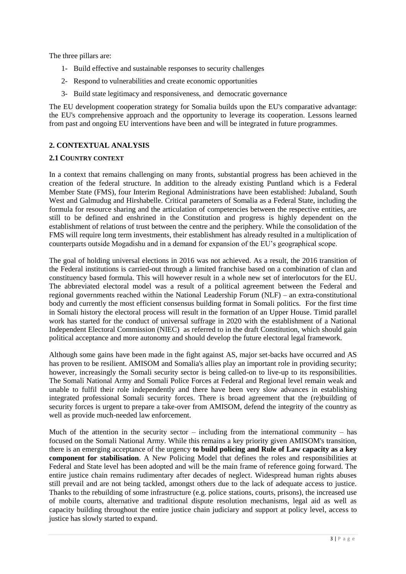The three pillars are:

- 1- Build effective and sustainable responses to security challenges
- 2- Respond to vulnerabilities and create economic opportunities
- 3- Build state legitimacy and responsiveness, and democratic governance

The EU development cooperation strategy for Somalia builds upon the EU's comparative advantage: the EU's comprehensive approach and the opportunity to leverage its cooperation. Lessons learned from past and ongoing EU interventions have been and will be integrated in future programmes.

# **2. CONTEXTUAL ANALYSIS**

## **2.1 COUNTRY CONTEXT**

In a context that remains challenging on many fronts, substantial progress has been achieved in the creation of the federal structure. In addition to the already existing Puntland which is a Federal Member State (FMS), four Interim Regional Administrations have been established: Jubaland, South West and Galmudug and Hirshabelle. Critical parameters of Somalia as a Federal State, including the formula for resource sharing and the articulation of competencies between the respective entities, are still to be defined and enshrined in the Constitution and progress is highly dependent on the establishment of relations of trust between the centre and the periphery. While the consolidation of the FMS will require long term investments, their establishment has already resulted in a multiplication of counterparts outside Mogadishu and in a demand for expansion of the EU's geographical scope.

The goal of holding universal elections in 2016 was not achieved. As a result, the 2016 transition of the Federal institutions is carried-out through a limited franchise based on a combination of clan and constituency based formula. This will however result in a whole new set of interlocutors for the EU. The abbreviated electoral model was a result of a political agreement between the Federal and regional governments reached within the National Leadership Forum (NLF) – an extra-constitutional body and currently the most efficient consensus building format in Somali politics. For the first time in Somali history the electoral process will result in the formation of an Upper House. Timid parallel work has started for the conduct of universal suffrage in 2020 with the establishment of a National Independent Electoral Commission (NIEC) as referred to in the draft Constitution, which should gain political acceptance and more autonomy and should develop the future electoral legal framework.

Although some gains have been made in the fight against AS, major set-backs have occurred and AS has proven to be resilient. AMISOM and Somalia's allies play an important role in providing security; however, increasingly the Somali security sector is being called-on to live-up to its responsibilities. The Somali National Army and Somali Police Forces at Federal and Regional level remain weak and unable to fulfil their role independently and there have been very slow advances in establishing integrated professional Somali security forces. There is broad agreement that the (re)building of security forces is urgent to prepare a take-over from AMISOM, defend the integrity of the country as well as provide much-needed law enforcement.

Much of the attention in the security sector – including from the international community – has focused on the Somali National Army. While this remains a key priority given AMISOM's transition, there is an emerging acceptance of the urgency **to build policing and Rule of Law capacity as a key component for stabilisation**. A New Policing Model that defines the roles and responsibilities at Federal and State level has been adopted and will be the main frame of reference going forward. The entire justice chain remains rudimentary after decades of neglect. Widespread human rights abuses still prevail and are not being tackled, amongst others due to the lack of adequate access to justice. Thanks to the rebuilding of some infrastructure (e.g. police stations, courts, prisons), the increased use of mobile courts, alternative and traditional dispute resolution mechanisms, legal aid as well as capacity building throughout the entire justice chain judiciary and support at policy level, access to justice has slowly started to expand.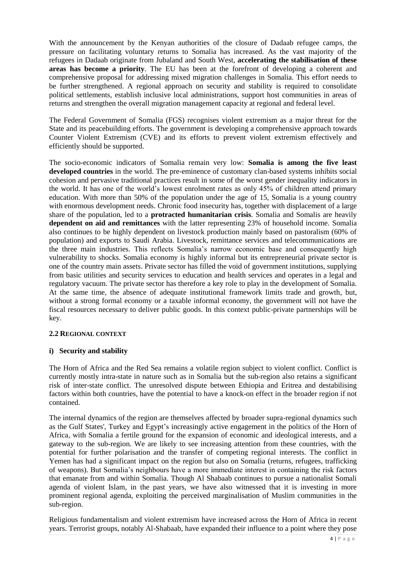With the announcement by the Kenyan authorities of the closure of Dadaab refugee camps, the pressure on facilitating voluntary returns to Somalia has increased. As the vast majority of the refugees in Dadaab originate from Jubaland and South West, **accelerating the stabilisation of these areas has become a priority**. The EU has been at the forefront of developing a coherent and comprehensive proposal for addressing mixed migration challenges in Somalia. This effort needs to be further strengthened. A regional approach on security and stability is required to consolidate political settlements, establish inclusive local administrations, support host communities in areas of returns and strengthen the overall migration management capacity at regional and federal level.

The Federal Government of Somalia (FGS) recognises violent extremism as a major threat for the State and its peacebuilding efforts. The government is developing a comprehensive approach towards Counter Violent Extremism (CVE) and its efforts to prevent violent extremism effectively and efficiently should be supported.

The socio-economic indicators of Somalia remain very low: **Somalia is among the five least developed countries** in the world. The pre-eminence of customary clan-based systems inhibits social cohesion and pervasive traditional practices result in some of the worst gender inequality indicators in the world. It has one of the world's lowest enrolment rates as only 45% of children attend primary education. With more than 50% of the population under the age of 15, Somalia is a young country with enormous development needs. Chronic food insecurity has, together with displacement of a large share of the population, led to a **protracted humanitarian crisis**. Somalia and Somalis are heavily **dependent on aid and remittances** with the latter representing 23% of household income. Somalia also continues to be highly dependent on livestock production mainly based on pastoralism (60% of population) and exports to Saudi Arabia. Livestock, remittance services and telecommunications are the three main industries. This reflects Somalia's narrow economic base and consequently high vulnerability to shocks. Somalia economy is highly informal but its entrepreneurial private sector is one of the country main assets. Private sector has filled the void of government institutions, supplying from basic utilities and security services to education and health services and operates in a legal and regulatory vacuum. The private sector has therefore a key role to play in the development of Somalia. At the same time, the absence of adequate institutional framework limits trade and growth, but, without a strong formal economy or a taxable informal economy, the government will not have the fiscal resources necessary to deliver public goods. In this context public-private partnerships will be key.

# **2.2 REGIONAL CONTEXT**

### **i) Security and stability**

The Horn of Africa and the Red Sea remains a volatile region subject to violent conflict. Conflict is currently mostly intra-state in nature such as in Somalia but the sub-region also retains a significant risk of inter-state conflict. The unresolved dispute between Ethiopia and Eritrea and destabilising factors within both countries, have the potential to have a knock-on effect in the broader region if not contained.

The internal dynamics of the region are themselves affected by broader supra-regional dynamics such as the Gulf States', Turkey and Egypt's increasingly active engagement in the politics of the Horn of Africa, with Somalia a fertile ground for the expansion of economic and ideological interests, and a gateway to the sub-region. We are likely to see increasing attention from these countries, with the potential for further polarisation and the transfer of competing regional interests. The conflict in Yemen has had a significant impact on the region but also on Somalia (returns, refugees, trafficking of weapons). But Somalia's neighbours have a more immediate interest in containing the risk factors that emanate from and within Somalia. Though Al Shabaab continues to pursue a nationalist Somali agenda of violent Islam, in the past years, we have also witnessed that it is investing in more prominent regional agenda, exploiting the perceived marginalisation of Muslim communities in the sub-region.

Religious fundamentalism and violent extremism have increased across the Horn of Africa in recent years. Terrorist groups, notably Al-Shabaab, have expanded their influence to a point where they pose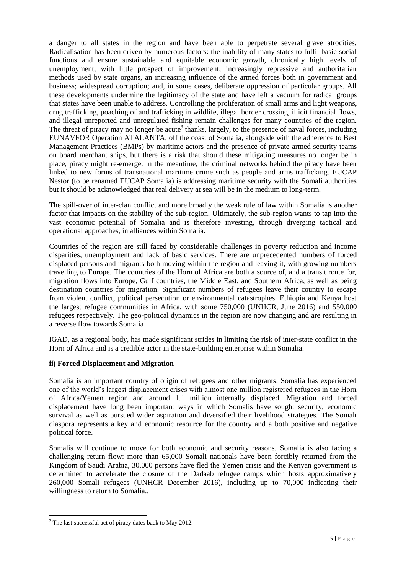a danger to all states in the region and have been able to perpetrate several grave atrocities. Radicalisation has been driven by numerous factors: the inability of many states to fulfil basic social functions and ensure sustainable and equitable economic growth, chronically high levels of unemployment, with little prospect of improvement; increasingly repressive and authoritarian methods used by state organs, an increasing influence of the armed forces both in government and business; widespread corruption; and, in some cases, deliberate oppression of particular groups. All these developments undermine the legitimacy of the state and have left a vacuum for radical groups that states have been unable to address. Controlling the proliferation of small arms and light weapons, drug trafficking, poaching of and trafficking in wildlife, illegal border crossing, illicit financial flows, and illegal unreported and unregulated fishing remain challenges for many countries of the region. The threat of piracy may no longer be acute<sup>3</sup> thanks, largely, to the presence of naval forces, including EUNAVFOR Operation ATALANTA, off the coast of Somalia, alongside with the adherence to Best Management Practices (BMPs) by maritime actors and the presence of private armed security teams on board merchant ships, but there is a risk that should these mitigating measures no longer be in place, piracy might re-emerge. In the meantime, the criminal networks behind the piracy have been linked to new forms of transnational maritime crime such as people and arms trafficking. EUCAP Nestor (to be renamed EUCAP Somalia) is addressing maritime security with the Somali authorities but it should be acknowledged that real delivery at sea will be in the medium to long-term.

The spill-over of inter-clan conflict and more broadly the weak rule of law within Somalia is another factor that impacts on the stability of the sub-region. Ultimately, the sub-region wants to tap into the vast economic potential of Somalia and is therefore investing, through diverging tactical and operational approaches, in alliances within Somalia.

Countries of the region are still faced by considerable challenges in poverty reduction and income disparities, unemployment and lack of basic services. There are unprecedented numbers of forced displaced persons and migrants both moving within the region and leaving it, with growing numbers travelling to Europe. The countries of the Horn of Africa are both a source of, and a transit route for, migration flows into Europe, Gulf countries, the Middle East, and Southern Africa, as well as being destination countries for migration. Significant numbers of refugees leave their country to escape from violent conflict, political persecution or environmental catastrophes. Ethiopia and Kenya host the largest refugee communities in Africa, with some 750,000 (UNHCR, June 2016) and 550,000 refugees respectively. The geo-political dynamics in the region are now changing and are resulting in a reverse flow towards Somalia

IGAD, as a regional body, has made significant strides in limiting the risk of inter-state conflict in the Horn of Africa and is a credible actor in the state-building enterprise within Somalia.

# **ii) Forced Displacement and Migration**

Somalia is an important country of origin of refugees and other migrants. Somalia has experienced one of the world's largest displacement crises with almost one million registered refugees in the Horn of Africa/Yemen region and around 1.1 million internally displaced. Migration and forced displacement have long been important ways in which Somalis have sought security, economic survival as well as pursued wider aspiration and diversified their livelihood strategies. The Somali diaspora represents a key and economic resource for the country and a both positive and negative political force.

Somalis will continue to move for both economic and security reasons. Somalia is also facing a challenging return flow: more than 65,000 Somali nationals have been forcibly returned from the Kingdom of Saudi Arabia, 30,000 persons have fled the Yemen crisis and the Kenyan government is determined to accelerate the closure of the Dadaab refugee camps which hosts approximatively 260,000 Somali refugees (UNHCR December 2016), including up to 70,000 indicating their willingness to return to Somalia..

**.** 

<sup>&</sup>lt;sup>3</sup> The last successful act of piracy dates back to May 2012.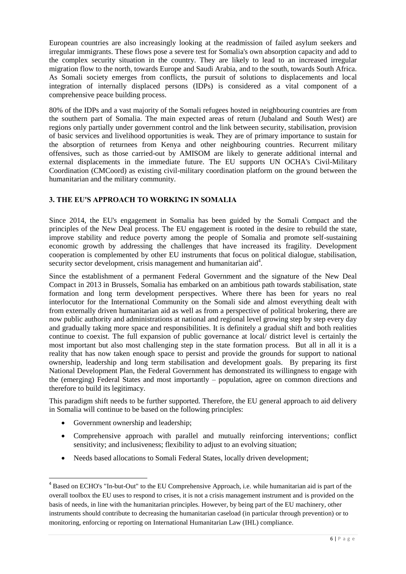European countries are also increasingly looking at the readmission of failed asylum seekers and irregular immigrants. These flows pose a severe test for Somalia's own absorption capacity and add to the complex security situation in the country. They are likely to lead to an increased irregular migration flow to the north, towards Europe and Saudi Arabia, and to the south, towards South Africa. As Somali society emerges from conflicts, the pursuit of solutions to displacements and local integration of internally displaced persons (IDPs) is considered as a vital component of a comprehensive peace building process.

80% of the IDPs and a vast majority of the Somali refugees hosted in neighbouring countries are from the southern part of Somalia. The main expected areas of return (Jubaland and South West) are regions only partially under government control and the link between security, stabilisation, provision of basic services and livelihood opportunities is weak. They are of primary importance to sustain for the absorption of returnees from Kenya and other neighbouring countries. Recurrent military offensives, such as those carried-out by AMISOM are likely to generate additional internal and external displacements in the immediate future. The EU supports UN OCHA's Civil-Military Coordination (CMCoord) as existing civil-military coordination platform on the ground between the humanitarian and the military community.

# **3. THE EU'S APPROACH TO WORKING IN SOMALIA**

Since 2014, the EU's engagement in Somalia has been guided by the Somali Compact and the principles of the New Deal process. The EU engagement is rooted in the desire to rebuild the state, improve stability and reduce poverty among the people of Somalia and promote self-sustaining economic growth by addressing the challenges that have increased its fragility. Development cooperation is complemented by other EU instruments that focus on political dialogue, stabilisation, security sector development, crisis management and humanitarian aid<sup>4</sup>.

Since the establishment of a permanent Federal Government and the signature of the New Deal Compact in 2013 in Brussels, Somalia has embarked on an ambitious path towards stabilisation, state formation and long term development perspectives. Where there has been for years no real interlocutor for the International Community on the Somali side and almost everything dealt with from externally driven humanitarian aid as well as from a perspective of political brokering, there are now public authority and administrations at national and regional level growing step by step every day and gradually taking more space and responsibilities. It is definitely a gradual shift and both realities continue to coexist. The full expansion of public governance at local/ district level is certainly the most important but also most challenging step in the state formation process. But all in all it is a reality that has now taken enough space to persist and provide the grounds for support to national ownership, leadership and long term stabilisation and development goals. By preparing its first National Development Plan, the Federal Government has demonstrated its willingness to engage with the (emerging) Federal States and most importantly – population, agree on common directions and therefore to build its legitimacy.

This paradigm shift needs to be further supported. Therefore, the EU general approach to aid delivery in Somalia will continue to be based on the following principles:

Government ownership and leadership;

1

- Comprehensive approach with parallel and mutually reinforcing interventions; conflict sensitivity; and inclusiveness; flexibility to adjust to an evolving situation;
- Needs based allocations to Somali Federal States, locally driven development;

<sup>&</sup>lt;sup>4</sup> Based on ECHO's "In-but-Out" to the EU Comprehensive Approach, i.e. while humanitarian aid is part of the overall toolbox the EU uses to respond to crises, it is not a crisis management instrument and is provided on the basis of needs, in line with the humanitarian principles. However, by being part of the EU machinery, other instruments should contribute to decreasing the humanitarian caseload (in particular through prevention) or to monitoring, enforcing or reporting on International Humanitarian Law (IHL) compliance.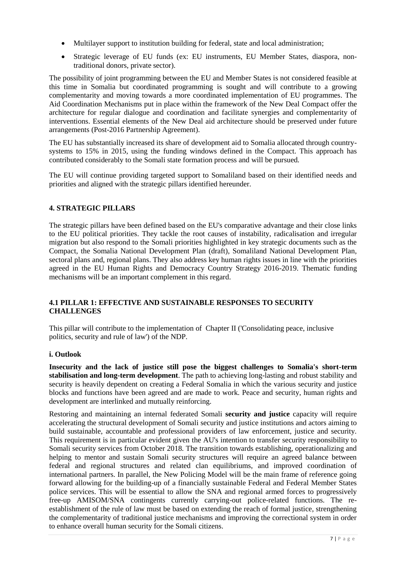- Multilayer support to institution building for federal, state and local administration;
- Strategic leverage of EU funds (ex: EU instruments, EU Member States, diaspora, nontraditional donors, private sector).

The possibility of joint programming between the EU and Member States is not considered feasible at this time in Somalia but coordinated programming is sought and will contribute to a growing complementarity and moving towards a more coordinated implementation of EU programmes. The Aid Coordination Mechanisms put in place within the framework of the New Deal Compact offer the architecture for regular dialogue and coordination and facilitate synergies and complementarity of interventions. Essential elements of the New Deal aid architecture should be preserved under future arrangements (Post-2016 Partnership Agreement).

The EU has substantially increased its share of development aid to Somalia allocated through countrysystems to 15% in 2015, using the funding windows defined in the Compact. This approach has contributed considerably to the Somali state formation process and will be pursued.

The EU will continue providing targeted support to Somaliland based on their identified needs and priorities and aligned with the strategic pillars identified hereunder.

## **4. STRATEGIC PILLARS**

The strategic pillars have been defined based on the EU's comparative advantage and their close links to the EU political priorities. They tackle the root causes of instability, radicalisation and irregular migration but also respond to the Somali priorities highlighted in key strategic documents such as the Compact, the Somalia National Development Plan (draft), Somaliland National Development Plan, sectoral plans and, regional plans. They also address key human rights issues in line with the priorities agreed in the EU Human Rights and Democracy Country Strategy 2016-2019. Thematic funding mechanisms will be an important complement in this regard.

# **4.1 PILLAR 1: EFFECTIVE AND SUSTAINABLE RESPONSES TO SECURITY CHALLENGES**

This pillar will contribute to the implementation of Chapter II ('Consolidating peace, inclusive politics, security and rule of law') of the NDP.

### **i. Outlook**

**Insecurity and the lack of justice still pose the biggest challenges to Somalia's short-term stabilisation and long-term development**. The path to achieving long-lasting and robust stability and security is heavily dependent on creating a Federal Somalia in which the various security and justice blocks and functions have been agreed and are made to work. Peace and security, human rights and development are interlinked and mutually reinforcing.

Restoring and maintaining an internal federated Somali **security and justice** capacity will require accelerating the structural development of Somali security and justice institutions and actors aiming to build sustainable, accountable and professional providers of law enforcement, justice and security. This requirement is in particular evident given the AU's intention to transfer security responsibility to Somali security services from October 2018. The transition towards establishing, operationalizing and helping to mentor and sustain Somali security structures will require an agreed balance between federal and regional structures and related clan equilibriums, and improved coordination of international partners. In parallel, the New Policing Model will be the main frame of reference going forward allowing for the building-up of a financially sustainable Federal and Federal Member States police services. This will be essential to allow the SNA and regional armed forces to progressively free-up AMISOM/SNA contingents currently carrying-out police-related functions. The reestablishment of the rule of law must be based on extending the reach of formal justice, strengthening the complementarity of traditional justice mechanisms and improving the correctional system in order to enhance overall human security for the Somali citizens.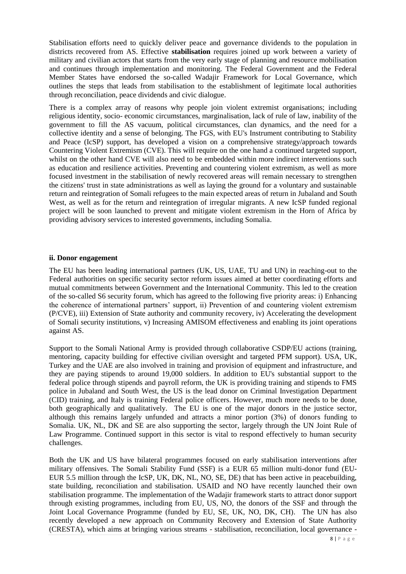Stabilisation efforts need to quickly deliver peace and governance dividends to the population in districts recovered from AS. Effective **stabilisation** requires joined up work between a variety of military and civilian actors that starts from the very early stage of planning and resource mobilisation and continues through implementation and monitoring. The Federal Government and the Federal Member States have endorsed the so-called Wadajir Framework for Local Governance, which outlines the steps that leads from stabilisation to the establishment of legitimate local authorities through reconciliation, peace dividends and civic dialogue.

There is a complex array of reasons why people join violent extremist organisations; including religious identity, socio- economic circumstances, marginalisation, lack of rule of law, inability of the government to fill the AS vacuum, political circumstances, clan dynamics, and the need for a collective identity and a sense of belonging. The FGS, with EU's Instrument contributing to Stability and Peace (IcSP) support, has developed a vision on a comprehensive strategy/approach towards Countering Violent Extremism (CVE). This will require on the one hand a continued targeted support, whilst on the other hand CVE will also need to be embedded within more indirect interventions such as education and resilience activities. Preventing and countering violent extremism, as well as more focused investment in the stabilisation of newly recovered areas will remain necessary to strengthen the citizens' trust in state administrations as well as laying the ground for a voluntary and sustainable return and reintegration of Somali refugees to the main expected areas of return in Jubaland and South West, as well as for the return and reintegration of irregular migrants. A new IcSP funded regional project will be soon launched to prevent and mitigate violent extremism in the Horn of Africa by providing advisory services to interested governments, including Somalia.

#### **ii. Donor engagement**

The EU has been leading international partners (UK, US, UAE, TU and UN) in reaching-out to the Federal authorities on specific security sector reform issues aimed at better coordinating efforts and mutual commitments between Government and the International Community. This led to the creation of the so-called S6 security forum, which has agreed to the following five priority areas: i) Enhancing the coherence of international partners' support, ii) Prevention of and countering violent extremism (P/CVE), iii) Extension of State authority and community recovery, iv) Accelerating the development of Somali security institutions, v) Increasing AMISOM effectiveness and enabling its joint operations against AS.

Support to the Somali National Army is provided through collaborative CSDP/EU actions (training, mentoring, capacity building for effective civilian oversight and targeted PFM support). USA, UK, Turkey and the UAE are also involved in training and provision of equipment and infrastructure, and they are paying stipends to around 19,000 soldiers. In addition to EU's substantial support to the federal police through stipends and payroll reform, the UK is providing training and stipends to FMS police in Jubaland and South West, the US is the lead donor on Criminal Investigation Department (CID) training, and Italy is training Federal police officers. However, much more needs to be done, both geographically and qualitatively. The EU is one of the major donors in the justice sector, although this remains largely unfunded and attracts a minor portion (3%) of donors funding to Somalia. UK, NL, DK and SE are also supporting the sector, largely through the UN Joint Rule of Law Programme. Continued support in this sector is vital to respond effectively to human security challenges.

Both the UK and US have bilateral programmes focused on early stabilisation interventions after military offensives. The Somali Stability Fund (SSF) is a EUR 65 million multi-donor fund (EU-EUR 5.5 million through the IcSP, UK, DK, NL, NO, SE, DE) that has been active in peacebuilding, state building, reconciliation and stabilisation. USAID and NO have recently launched their own stabilisation programme. The implementation of the Wadajir framework starts to attract donor support through existing programmes, including from EU, US, NO, the donors of the SSF and through the Joint Local Governance Programme (funded by EU, SE, UK, NO, DK, CH). The UN has also recently developed a new approach on Community Recovery and Extension of State Authority (CRESTA), which aims at bringing various streams - stabilisation, reconciliation, local governance -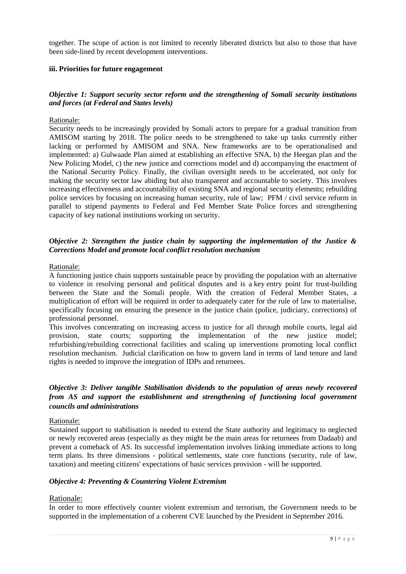together. The scope of action is not limited to recently liberated districts but also to those that have been side-lined by recent development interventions.

### **iii. Priorities for future engagement**

### *Objective 1: Support security sector reform and the strengthening of Somali security institutions and forces (at Federal and States levels)*

### Rationale:

Security needs to be increasingly provided by Somali actors to prepare for a gradual transition from AMISOM starting by 2018. The police needs to be strengthened to take up tasks currently either lacking or performed by AMISOM and SNA. New frameworks are to be operationalised and implemented: a) Gulwaade Plan aimed at establishing an effective SNA, b) the Heegan plan and the New Policing Model, c) the new justice and corrections model and d) accompanying the enactment of the National Security Policy. Finally, the civilian oversight needs to be accelerated, not only for making the security sector law abiding but also transparent and accountable to society. This involves increasing effectiveness and accountability of existing SNA and regional security elements; rebuilding police services by focusing on increasing human security, rule of law; PFM / civil service reform in parallel to stipend payments to Federal and Fed Member State Police forces and strengthening capacity of key national institutions working on security.

### *Objective 2: Strengthen the justice chain by supporting the implementation of the Justice & Corrections Model and promote local conflict resolution mechanism*

#### Rationale:

A functioning justice chain supports sustainable peace by providing the population with an alternative to violence in resolving personal and political disputes and is a key entry point for trust-building between the State and the Somali people. With the creation of Federal Member States, a multiplication of effort will be required in order to adequately cater for the rule of law to materialise, specifically focusing on ensuring the presence in the justice chain (police, judiciary, corrections) of professional personnel.

This involves concentrating on increasing access to justice for all through mobile courts, legal aid provision, state courts; supporting the implementation of the new justice model; refurbishing/rebuilding correctional facilities and scaling up interventions promoting local conflict resolution mechanism. Judicial clarification on how to govern land in terms of land tenure and land rights is needed to improve the integration of IDPs and returnees.

# *Objective 3: Deliver tangible Stabilisation dividends to the population of areas newly recovered from AS and support the establishment and strengthening of functioning local government councils and administrations*

#### Rationale:

Sustained support to stabilisation is needed to extend the State authority and legitimacy to neglected or newly recovered areas (especially as they might be the main areas for returnees from Dadaab) and prevent a comeback of AS. Its successful implementation involves linking immediate actions to long term plans. Its three dimensions - political settlements, state core functions (security, rule of law, taxation) and meeting citizens' expectations of basic services provision - will be supported.

#### *Objective 4: Preventing & Countering Violent Extremism*

#### Rationale:

In order to more effectively counter violent extremism and terrorism, the Government needs to be supported in the implementation of a coherent CVE launched by the President in September 2016.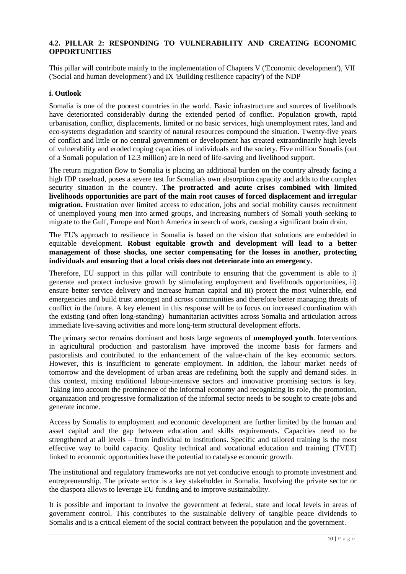# **4.2. PILLAR 2: RESPONDING TO VULNERABILITY AND CREATING ECONOMIC OPPORTUNITIES**

This pillar will contribute mainly to the implementation of Chapters V ('Economic development'), VII ('Social and human development') and IX 'Building resilience capacity') of the NDP

### **i. Outlook**

Somalia is one of the poorest countries in the world. Basic infrastructure and sources of livelihoods have deteriorated considerably during the extended period of conflict. Population growth, rapid urbanisation, conflict, displacements, limited or no basic services, high unemployment rates, land and eco-systems degradation and scarcity of natural resources compound the situation. Twenty-five years of conflict and little or no central government or development has created extraordinarily high levels of vulnerability and eroded coping capacities of individuals and the society. Five million Somalis (out of a Somali population of 12.3 million) are in need of life-saving and livelihood support.

The return migration flow to Somalia is placing an additional burden on the country already facing a high IDP caseload, poses a severe test for Somalia's own absorption capacity and adds to the complex security situation in the country. **The protracted and acute crises combined with limited livelihoods opportunities are part of the main root causes of forced displacement and irregular migration.** Frustration over limited access to education, jobs and social mobility causes recruitment of unemployed young men into armed groups, and increasing numbers of Somali youth seeking to migrate to the Gulf, Europe and North America in search of work, causing a significant brain drain.

The EU's approach to resilience in Somalia is based on the vision that solutions are embedded in equitable development. **Robust equitable growth and development will lead to a better management of those shocks, one sector compensating for the losses in another, protecting individuals and ensuring that a local crisis does not deteriorate into an emergency.** 

Therefore, EU support in this pillar will contribute to ensuring that the government is able to i) generate and protect inclusive growth by stimulating employment and livelihoods opportunities, ii) ensure better service delivery and increase human capital and iii) protect the most vulnerable, end emergencies and build trust amongst and across communities and therefore better managing threats of conflict in the future. A key element in this response will be to focus on increased coordination with the existing (and often long-standing) humanitarian activities across Somalia and articulation across immediate live-saving activities and more long-term structural development efforts.

The primary sector remains dominant and hosts large segments of **unemployed youth**. Interventions in agricultural production and pastoralism have improved the income basis for farmers and pastoralists and contributed to the enhancement of the value-chain of the key economic sectors. However, this is insufficient to generate employment. In addition, the labour market needs of tomorrow and the development of urban areas are redefining both the supply and demand sides. In this context, mixing traditional labour-intensive sectors and innovative promising sectors is key. Taking into account the prominence of the informal economy and recognizing its role, the promotion, organization and progressive formalization of the informal sector needs to be sought to create jobs and generate income.

Access by Somalis to employment and economic development are further limited by the human and asset capital and the gap between education and skills requirements. Capacities need to be strengthened at all levels – from individual to institutions. Specific and tailored training is the most effective way to build capacity. Quality technical and vocational education and training (TVET) linked to economic opportunities have the potential to catalyse economic growth.

The institutional and regulatory frameworks are not yet conducive enough to promote investment and entrepreneurship. The private sector is a key stakeholder in Somalia. Involving the private sector or the diaspora allows to leverage EU funding and to improve sustainability.

It is possible and important to involve the government at federal, state and local levels in areas of government control. This contributes to the sustainable delivery of tangible peace dividends to Somalis and is a critical element of the social contract between the population and the government.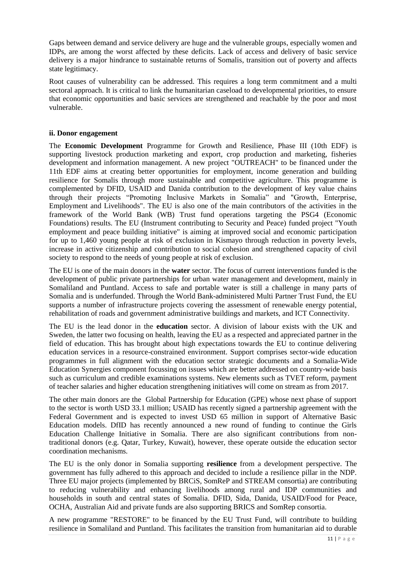Gaps between demand and service delivery are huge and the vulnerable groups, especially women and IDPs, are among the worst affected by these deficits. Lack of access and delivery of basic service delivery is a major hindrance to sustainable returns of Somalis, transition out of poverty and affects state legitimacy.

Root causes of vulnerability can be addressed. This requires a long term commitment and a multi sectoral approach. It is critical to link the humanitarian caseload to developmental priorities, to ensure that economic opportunities and basic services are strengthened and reachable by the poor and most vulnerable.

## **ii. Donor engagement**

The **Economic Development** Programme for Growth and Resilience, Phase III (10th EDF) is supporting livestock production marketing and export, crop production and marketing, fisheries development and information management. A new project "OUTREACH" to be financed under the 11th EDF aims at creating better opportunities for employment, income generation and building resilience for Somalis through more sustainable and competitive agriculture. This programme is complemented by DFID, USAID and Danida contribution to the development of key value chains through their projects "Promoting Inclusive Markets in Somalia" and "Growth, Enterprise, Employment and Livelihoods". The EU is also one of the main contributors of the activities in the framework of the World Bank (WB) Trust fund operations targeting the PSG4 (Economic Foundations) results. The EU (Instrument contributing to Security and Peace) funded project "Youth employment and peace building initiative" is aiming at improved social and economic participation for up to 1,460 young people at risk of exclusion in Kismayo through reduction in poverty levels, increase in active citizenship and contribution to social cohesion and strengthened capacity of civil society to respond to the needs of young people at risk of exclusion.

The EU is one of the main donors in the **water** sector. The focus of current interventions funded is the development of public private partnerships for urban water management and development, mainly in Somaliland and Puntland. Access to safe and portable water is still a challenge in many parts of Somalia and is underfunded. Through the World Bank-administered Multi Partner Trust Fund, the EU supports a number of infrastructure projects covering the assessment of renewable energy potential, rehabilitation of roads and government administrative buildings and markets, and ICT Connectivity.

The EU is the lead donor in the **education** sector. A division of labour exists with the UK and Sweden, the latter two focusing on health, leaving the EU as a respected and appreciated partner in the field of education. This has brought about high expectations towards the EU to continue delivering education services in a resource-constrained environment. Support comprises sector-wide education programmes in full alignment with the education sector strategic documents and a Somalia-Wide Education Synergies component focussing on issues which are better addressed on country-wide basis such as curriculum and credible examinations systems. New elements such as TVET reform, payment of teacher salaries and higher education strengthening initiatives will come on stream as from 2017.

The other main donors are the Global Partnership for Education (GPE) whose next phase of support to the sector is worth USD 33.1 million; USAID has recently signed a partnership agreement with the Federal Government and is expected to invest USD 65 million in support of Alternative Basic Education models. DfID has recently announced a new round of funding to continue the Girls Education Challenge Initiative in Somalia. There are also significant contributions from nontraditional donors (e.g. Qatar, Turkey, Kuwait), however, these operate outside the education sector coordination mechanisms.

The EU is the only donor in Somalia supporting **resilience** from a development perspective. The government has fully adhered to this approach and decided to include a resilience pillar in the NDP. Three EU major projects (implemented by BRCiS, SomReP and STREAM consortia) are contributing to reducing vulnerability and enhancing livelihoods among rural and IDP communities and households in south and central states of Somalia. DFID, Sida, Danida, USAID/Food for Peace, OCHA, Australian Aid and private funds are also supporting BRICS and SomRep consortia.

A new programme "RESTORE" to be financed by the EU Trust Fund, will contribute to building resilience in Somaliland and Puntland. This facilitates the transition from humanitarian aid to durable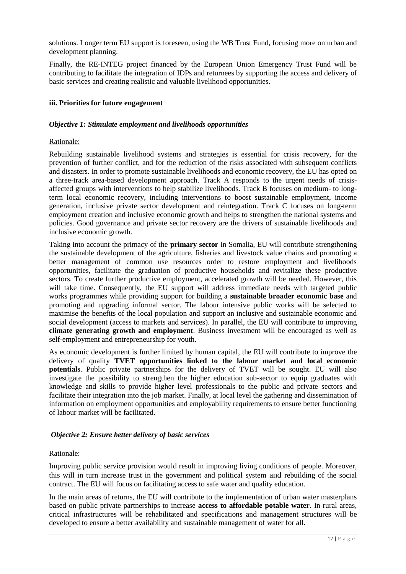solutions. Longer term EU support is foreseen, using the WB Trust Fund, focusing more on urban and development planning.

Finally, the RE-INTEG project financed by the European Union Emergency Trust Fund will be contributing to facilitate the integration of IDPs and returnees by supporting the access and delivery of basic services and creating realistic and valuable livelihood opportunities.

### **iii. Priorities for future engagement**

#### *Objective 1: Stimulate employment and livelihoods opportunities*

#### Rationale:

Rebuilding sustainable livelihood systems and strategies is essential for crisis recovery, for the prevention of further conflict, and for the reduction of the risks associated with subsequent conflicts and disasters. In order to promote sustainable livelihoods and economic recovery, the EU has opted on a three-track area-based development approach. Track A responds to the urgent needs of crisisaffected groups with interventions to help stabilize livelihoods. Track B focuses on medium- to longterm local economic recovery, including interventions to boost sustainable employment, income generation, inclusive private sector development and reintegration. Track C focuses on long-term employment creation and inclusive economic growth and helps to strengthen the national systems and policies. Good governance and private sector recovery are the drivers of sustainable livelihoods and inclusive economic growth.

Taking into account the primacy of the **primary sector** in Somalia, EU will contribute strengthening the sustainable development of the agriculture, fisheries and livestock value chains and promoting a better management of common use resources order to restore employment and livelihoods opportunities, facilitate the graduation of productive households and revitalize these productive sectors. To create further productive employment, accelerated growth will be needed. However, this will take time. Consequently, the EU support will address immediate needs with targeted public works programmes while providing support for building a **sustainable broader economic base** and promoting and upgrading informal sector. The labour intensive public works will be selected to maximise the benefits of the local population and support an inclusive and sustainable economic and social development (access to markets and services). In parallel, the EU will contribute to improving **climate generating growth and employment**. Business investment will be encouraged as well as self-employment and entrepreneurship for youth.

As economic development is further limited by human capital, the EU will contribute to improve the delivery of quality **TVET opportunities linked to the labour market and local economic potentials**. Public private partnerships for the delivery of TVET will be sought. EU will also investigate the possibility to strengthen the higher education sub-sector to equip graduates with knowledge and skills to provide higher level professionals to the public and private sectors and facilitate their integration into the job market. Finally, at local level the gathering and dissemination of information on employment opportunities and employability requirements to ensure better functioning of labour market will be facilitated.

### *Objective 2: Ensure better delivery of basic services*

### Rationale:

Improving public service provision would result in improving living conditions of people. Moreover, this will in turn increase trust in the government and political system and rebuilding of the social contract. The EU will focus on facilitating access to safe water and quality education.

In the main areas of returns, the EU will contribute to the implementation of urban water masterplans based on public private partnerships to increase **access to affordable potable water**. In rural areas, critical infrastructures will be rehabilitated and specifications and management structures will be developed to ensure a better availability and sustainable management of water for all.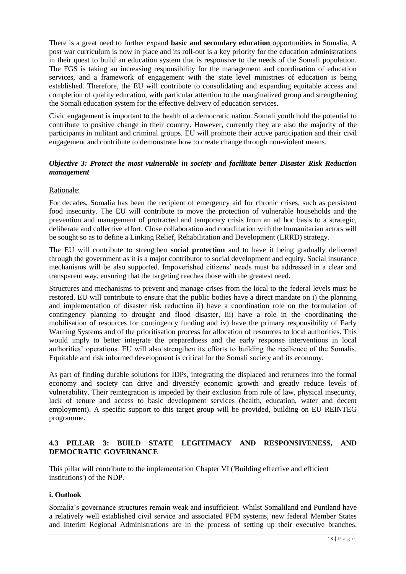There is a great need to further expand **basic and secondary education** opportunities in Somalia, A post war curriculum is now in place and its roll-out is a key priority for the education administrations in their quest to build an education system that is responsive to the needs of the Somali population. The FGS is taking an increasing responsibility for the management and coordination of education services, and a framework of engagement with the state level ministries of education is being established. Therefore, the EU will contribute to consolidating and expanding equitable access and completion of quality education, with particular attention to the marginalized group and strengthening the Somali education system for the effective delivery of education services.

Civic engagement is important to the health of a democratic nation. Somali youth hold the potential to contribute to positive change in their country. However, currently they are also the majority of the participants in militant and criminal groups. EU will promote their active participation and their civil engagement and contribute to demonstrate how to create change through non-violent means.

## *Objective 3: Protect the most vulnerable in society and facilitate better Disaster Risk Reduction management*

## Rationale:

For decades, Somalia has been the recipient of emergency aid for chronic crises, such as persistent food insecurity. The EU will contribute to move the protection of vulnerable households and the prevention and management of protracted and temporary crisis from an ad hoc basis to a strategic, deliberate and collective effort. Close collaboration and coordination with the humanitarian actors will be sought so as to define a Linking Relief, Rehabilitation and Development (LRRD) strategy.

The EU will contribute to strengthen **social protection** and to have it being gradually delivered through the government as it is a major contributor to social development and equity. Social insurance mechanisms will be also supported. Impoverished citizens' needs must be addressed in a clear and transparent way, ensuring that the targeting reaches those with the greatest need.

Structures and mechanisms to prevent and manage crises from the local to the federal levels must be restored. EU will contribute to ensure that the public bodies have a direct mandate on i) the planning and implementation of disaster risk reduction ii) have a coordination role on the formulation of contingency planning to drought and flood disaster, iii) have a role in the coordinating the mobilisation of resources for contingency funding and iv) have the primary responsibility of Early Warning Systems and of the prioritisation process for allocation of resources to local authorities. This would imply to better integrate the preparedness and the early response interventions in local authorities' operations. EU will also strengthen its efforts to building the resilience of the Somalis. Equitable and risk informed development is critical for the Somali society and its economy.

As part of finding durable solutions for IDPs, integrating the displaced and returnees into the formal economy and society can drive and diversify economic growth and greatly reduce levels of vulnerability. Their reintegration is impeded by their exclusion from rule of law, physical insecurity, lack of tenure and access to basic development services (health, education, water and decent employment). A specific support to this target group will be provided, building on EU REINTEG programme.

## **4.3 PILLAR 3: BUILD STATE LEGITIMACY AND RESPONSIVENESS, AND DEMOCRATIC GOVERNANCE**

This pillar will contribute to the implementation Chapter VI ('Building effective and efficient institutions') of the NDP.

# **i. Outlook**

Somalia's governance structures remain weak and insufficient. Whilst Somaliland and Puntland have a relatively well established civil service and associated PFM systems, new federal Member States and Interim Regional Administrations are in the process of setting up their executive branches.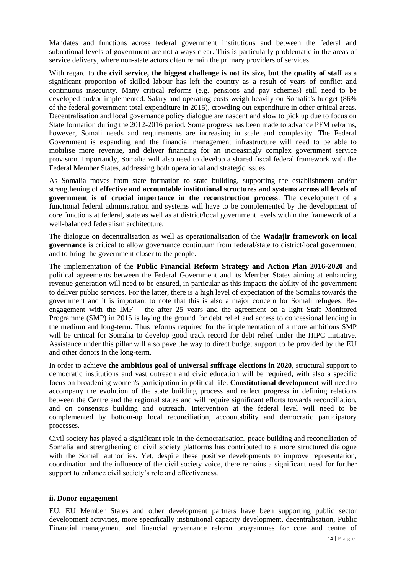Mandates and functions across federal government institutions and between the federal and subnational levels of government are not always clear. This is particularly problematic in the areas of service delivery, where non-state actors often remain the primary providers of services.

With regard to **the civil service, the biggest challenge is not its size, but the quality of staff** as a significant proportion of skilled labour has left the country as a result of years of conflict and continuous insecurity. Many critical reforms (e.g. pensions and pay schemes) still need to be developed and/or implemented. Salary and operating costs weigh heavily on Somalia's budget (86% of the federal government total expenditure in 2015), crowding out expenditure in other critical areas. Decentralisation and local governance policy dialogue are nascent and slow to pick up due to focus on State formation during the 2012-2016 period. Some progress has been made to advance PFM reforms, however, Somali needs and requirements are increasing in scale and complexity. The Federal Government is expanding and the financial management infrastructure will need to be able to mobilise more revenue, and deliver financing for an increasingly complex government service provision. Importantly, Somalia will also need to develop a shared fiscal federal framework with the Federal Member States, addressing both operational and strategic issues.

As Somalia moves from state formation to state building, supporting the establishment and/or strengthening of **effective and accountable institutional structures and systems across all levels of government is of crucial importance in the reconstruction process**. The development of a functional federal administration and systems will have to be complemented by the development of core functions at federal, state as well as at district/local government levels within the framework of a well-balanced federalism architecture.

The dialogue on decentralisation as well as operationalisation of the **Wadajir framework on local governance** is critical to allow governance continuum from federal/state to district/local government and to bring the government closer to the people.

The implementation of the **Public Financial Reform Strategy and Action Plan 2016-2020** and political agreements between the Federal Government and its Member States aiming at enhancing revenue generation will need to be ensured, in particular as this impacts the ability of the government to deliver public services. For the latter, there is a high level of expectation of the Somalis towards the government and it is important to note that this is also a major concern for Somali refugees. Reengagement with the IMF – the after 25 years and the agreement on a light Staff Monitored Programme (SMP) in 2015 is laying the ground for debt relief and access to concessional lending in the medium and long-term. Thus reforms required for the implementation of a more ambitious SMP will be critical for Somalia to develop good track record for debt relief under the HIPC initiative. Assistance under this pillar will also pave the way to direct budget support to be provided by the EU and other donors in the long-term.

In order to achieve **the ambitious goal of universal suffrage elections in 2020**, structural support to democratic institutions and vast outreach and civic education will be required, with also a specific focus on broadening women's participation in political life. **Constitutional development** will need to accompany the evolution of the state building process and reflect progress in defining relations between the Centre and the regional states and will require significant efforts towards reconciliation, and on consensus building and outreach. Intervention at the federal level will need to be complemented by bottom-up local reconciliation, accountability and democratic participatory processes.

Civil society has played a significant role in the democratisation, peace building and reconciliation of Somalia and strengthening of civil society platforms has contributed to a more structured dialogue with the Somali authorities. Yet, despite these positive developments to improve representation, coordination and the influence of the civil society voice, there remains a significant need for further support to enhance civil society's role and effectiveness.

### **ii. Donor engagement**

EU, EU Member States and other development partners have been supporting public sector development activities, more specifically institutional capacity development, decentralisation, Public Financial management and financial governance reform programmes for core and centre of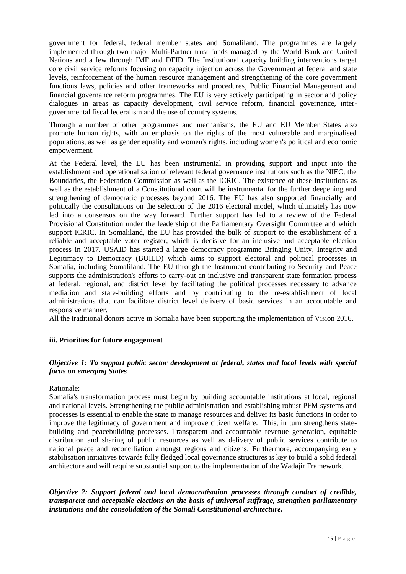government for federal, federal member states and Somaliland. The programmes are largely implemented through two major Multi-Partner trust funds managed by the World Bank and United Nations and a few through IMF and DFID. The Institutional capacity building interventions target core civil service reforms focusing on capacity injection across the Government at federal and state levels, reinforcement of the human resource management and strengthening of the core government functions laws, policies and other frameworks and procedures, Public Financial Management and financial governance reform programmes. The EU is very actively participating in sector and policy dialogues in areas as capacity development, civil service reform, financial governance, intergovernmental fiscal federalism and the use of country systems.

Through a number of other programmes and mechanisms, the EU and EU Member States also promote human rights, with an emphasis on the rights of the most vulnerable and marginalised populations, as well as gender equality and women's rights, including women's political and economic empowerment.

At the Federal level, the EU has been instrumental in providing support and input into the establishment and operationalisation of relevant federal governance institutions such as the NIEC, the Boundaries, the Federation Commission as well as the ICRIC. The existence of these institutions as well as the establishment of a Constitutional court will be instrumental for the further deepening and strengthening of democratic processes beyond 2016. The EU has also supported financially and politically the consultations on the selection of the 2016 electoral model, which ultimately has now led into a consensus on the way forward. Further support has led to a review of the Federal Provisional Constitution under the leadership of the Parliamentary Oversight Committee and which support ICRIC. In Somaliland, the EU has provided the bulk of support to the establishment of a reliable and acceptable voter register, which is decisive for an inclusive and acceptable election process in 2017. USAID has started a large democracy programme Bringing Unity, Integrity and Legitimacy to Democracy (BUILD) which aims to support electoral and political processes in Somalia, including Somaliland. The EU through the Instrument contributing to Security and Peace supports the administration's efforts to carry-out an inclusive and transparent state formation process at federal, regional, and district level by facilitating the political processes necessary to advance mediation and state-building efforts and by contributing to the re-establishment of local administrations that can facilitate district level delivery of basic services in an accountable and responsive manner.

All the traditional donors active in Somalia have been supporting the implementation of Vision 2016.

# **iii. Priorities for future engagement**

# *Objective 1: To support public sector development at federal, states and local levels with special focus on emerging States*

# Rationale:

Somalia's transformation process must begin by building accountable institutions at local, regional and national levels. Strengthening the public administration and establishing robust PFM systems and processes is essential to enable the state to manage resources and deliver its basic functions in order to improve the legitimacy of government and improve citizen welfare. This, in turn strengthens statebuilding and peacebuilding processes. Transparent and accountable revenue generation, equitable distribution and sharing of public resources as well as delivery of public services contribute to national peace and reconciliation amongst regions and citizens. Furthermore, accompanying early stabilisation initiatives towards fully fledged local governance structures is key to build a solid federal architecture and will require substantial support to the implementation of the Wadajir Framework.

### *Objective 2: Support federal and local democratisation processes through conduct of credible, transparent and acceptable elections on the basis of universal suffrage, strengthen parliamentary institutions and the consolidation of the Somali Constitutional architecture.*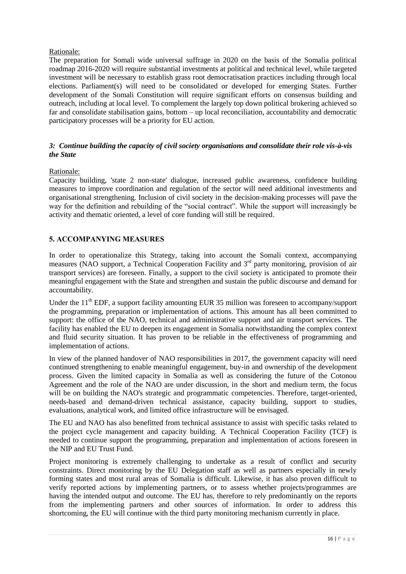### Rationale:

The preparation for Somali wide universal suffrage in 2020 on the basis of the Somalia political roadmap 2016-2020 will require substantial investments at political and technical level, while targeted investment will be necessary to establish grass root democratisation practices including through local elections. Parliament(s) will need to be consolidated or developed for emerging States. Further development of the Somali Constitution will require significant efforts on consensus building and outreach, including at local level. To complement the largely top down political brokering achieved so far and consolidate stabilisation gains, bottom – up local reconciliation, accountability and democratic participatory processes will be a priority for EU action.

# *3: Continue building the capacity of civil society organisations and consolidate their role vis-à-vis the State*

## Rationale:

Capacity building, 'state 2 non-state' dialogue, increased public awareness, confidence building measures to improve coordination and regulation of the sector will need additional investments and organisational strengthening. Inclusion of civil society in the decision-making processes will pave the way for the definition and rebuilding of the "social contract". While the support will increasingly be activity and thematic oriented, a level of core funding will still be required.

# **5. ACCOMPANYING MEASURES**

In order to operationalize this Strategy, taking into account the Somali context, accompanying measures (NAO support, a Technical Cooperation Facility and 3<sup>rd</sup> party monitoring, provision of air transport services) are foreseen. Finally, a support to the civil society is anticipated to promote their meaningful engagement with the State and strengthen and sustain the public discourse and demand for accountability.

Under the  $11^{th}$  EDF, a support facility amounting EUR 35 million was foreseen to accompany/support the programming, preparation or implementation of actions. This amount has all been committed to support: the office of the NAO, technical and administrative support and air transport services. The facility has enabled the EU to deepen its engagement in Somalia notwithstanding the complex context and fluid security situation. It has proven to be reliable in the effectiveness of programming and implementation of actions.

In view of the planned handover of NAO responsibilities in 2017, the government capacity will need continued strengthening to enable meaningful engagement, buy-in and ownership of the development process. Given the limited capacity in Somalia as well as considering the future of the Cotonou Agreement and the role of the NAO are under discussion, in the short and medium term, the focus will be on building the NAO's strategic and programmatic competencies. Therefore, target-oriented, needs-based and demand-driven technical assistance, capacity building, support to studies, evaluations, analytical work, and limited office infrastructure will be envisaged.

The EU and NAO has also benefitted from technical assistance to assist with specific tasks related to the project cycle management and capacity building. A Technical Cooperation Facility (TCF) is needed to continue support the programming, preparation and implementation of actions foreseen in the NIP and EU Trust Fund.

Project monitoring is extremely challenging to undertake as a result of conflict and security constraints. Direct monitoring by the EU Delegation staff as well as partners especially in newly forming states and most rural areas of Somalia is difficult. Likewise, it has also proven difficult to verify reported actions by implementing partners, or to assess whether projects/programmes are having the intended output and outcome. The EU has, therefore to rely predominantly on the reports from the implementing partners and other sources of information. In order to address this shortcoming, the EU will continue with the third party monitoring mechanism currently in place.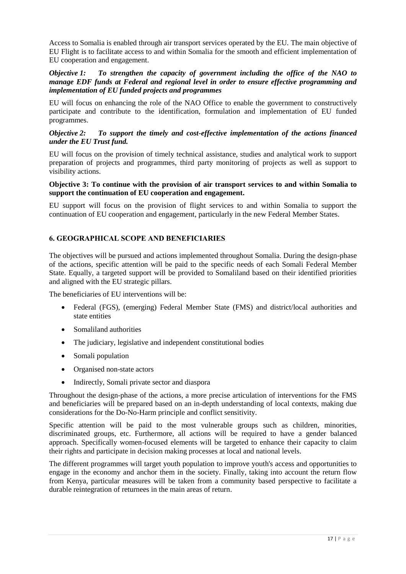Access to Somalia is enabled through air transport services operated by the EU. The main objective of EU Flight is to facilitate access to and within Somalia for the smooth and efficient implementation of EU cooperation and engagement.

## *Objective 1: To strengthen the capacity of government including the office of the NAO to manage EDF funds at Federal and regional level in order to ensure effective programming and implementation of EU funded projects and programmes*

EU will focus on enhancing the role of the NAO Office to enable the government to constructively participate and contribute to the identification, formulation and implementation of EU funded programmes.

### *Objective 2: To support the timely and cost-effective implementation of the actions financed under the EU Trust fund.*

EU will focus on the provision of timely technical assistance, studies and analytical work to support preparation of projects and programmes, third party monitoring of projects as well as support to visibility actions.

### **Objective 3: To continue with the provision of air transport services to and within Somalia to support the continuation of EU cooperation and engagement.**

EU support will focus on the provision of flight services to and within Somalia to support the continuation of EU cooperation and engagement, particularly in the new Federal Member States.

# **6. GEOGRAPHICAL SCOPE AND BENEFICIARIES**

The objectives will be pursued and actions implemented throughout Somalia. During the design-phase of the actions, specific attention will be paid to the specific needs of each Somali Federal Member State. Equally, a targeted support will be provided to Somaliland based on their identified priorities and aligned with the EU strategic pillars.

The beneficiaries of EU interventions will be:

- Federal (FGS), (emerging) Federal Member State (FMS) and district/local authorities and state entities
- Somaliland authorities
- The judiciary, legislative and independent constitutional bodies
- Somali population
- Organised non-state actors
- Indirectly, Somali private sector and diaspora

Throughout the design-phase of the actions, a more precise articulation of interventions for the FMS and beneficiaries will be prepared based on an in-depth understanding of local contexts, making due considerations for the Do-No-Harm principle and conflict sensitivity.

Specific attention will be paid to the most vulnerable groups such as children, minorities, discriminated groups, etc. Furthermore, all actions will be required to have a gender balanced approach. Specifically women-focused elements will be targeted to enhance their capacity to claim their rights and participate in decision making processes at local and national levels.

The different programmes will target youth population to improve youth's access and opportunities to engage in the economy and anchor them in the society. Finally, taking into account the return flow from Kenya, particular measures will be taken from a community based perspective to facilitate a durable reintegration of returnees in the main areas of return.